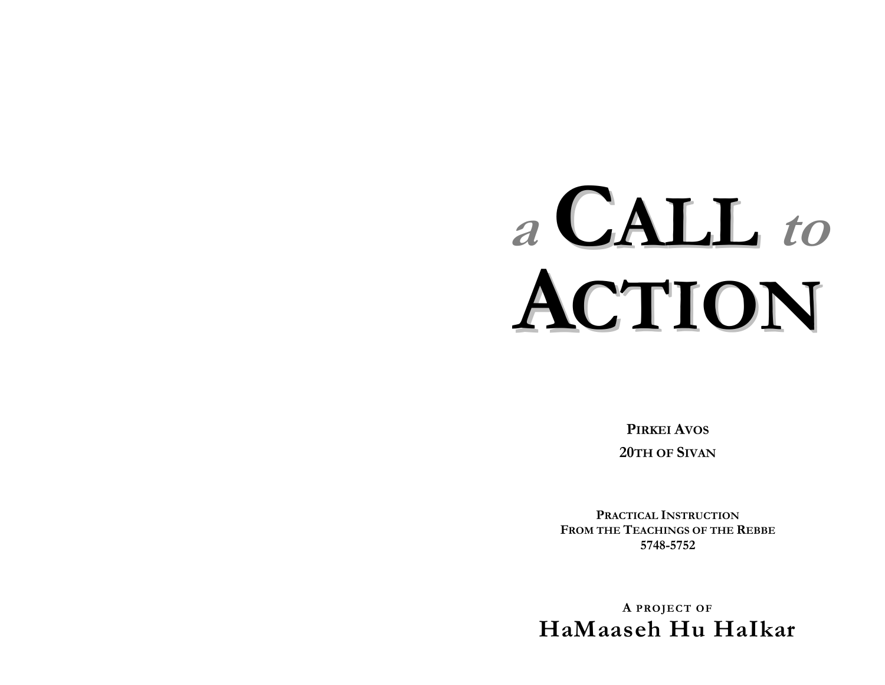# a CALL to CTION

**PIRKEI AVOS** 20TH OF SIVAN

PRACTICAL INSTRUCTION FROM THE TEACHINGS OF THE REBBE 5748-5752

A PROJECT OF HaMaaseh Hu Halkar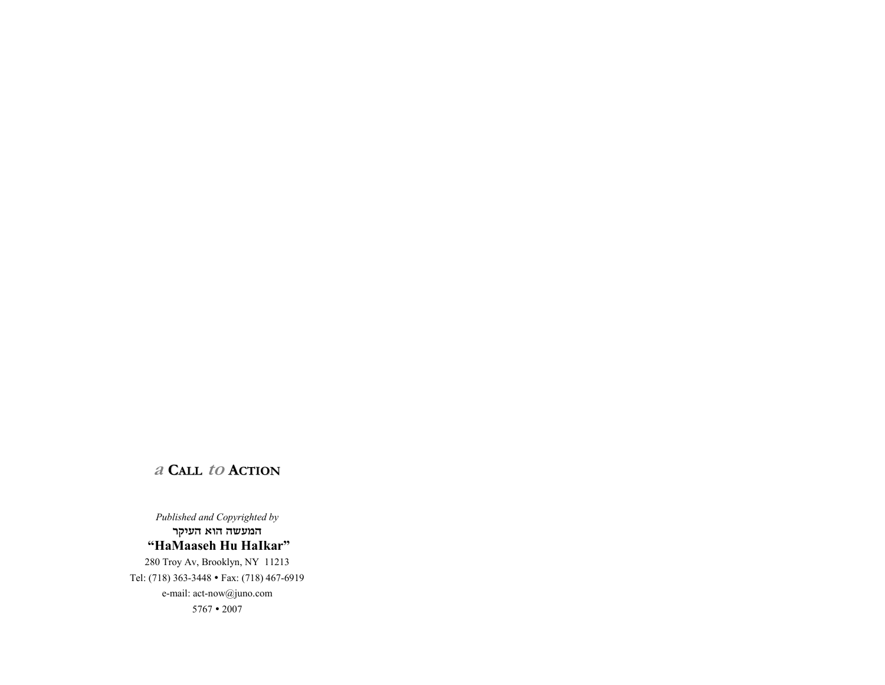#### **a CALL to ACTION**

*Published and Copyrighted by*  המעשה הוא העיקר  **"HaMaaseh Hu HaIkar"**  280 Troy Av, Brooklyn, NY 11213 Tel: (718) 363-3448 • Fax: (718) 467-6919 e-mail: act-now@juno.com  $5767 • 2007$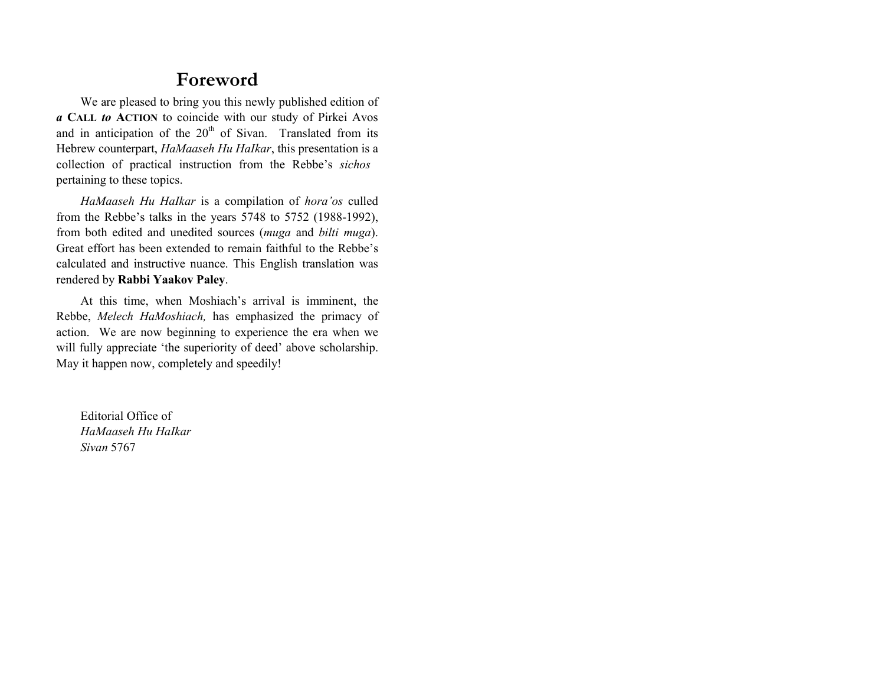#### **Foreword**

We are pleased to bring you this newly published edition of *a* **CALL** *to* **ACTION** to coincide with our study of Pirkei Avos and in anticipation of the  $20<sup>th</sup>$  of Sivan. Translated from its Hebrew counterpart, *HaMaaseh Hu HaIkar*, this presentation is a collection of practical instruction from the Rebbe's *sichos* pertaining to these topics.

*HaMaaseh Hu HaIkar* is a compilation of *hora'os* culled from the Rebbe's talks in the years 5748 to 5752 (1988-1992), from both edited and unedited sources (*muga* and *bilti muga*). Great effort has been extended to remain faithful to the Rebbe's calculated and instructive nuance. This English translation was rendered by **Rabbi Yaakov Paley**.

At this time, when Moshiach's arrival is imminent, the Rebbe, *Melech HaMoshiach,* has emphasized the primacy of action. We are now beginning to experience the era when we will fully appreciate 'the superiority of deed' above scholarship. May it happen now, completely and speedily!

Editorial Office of *HaMaaseh Hu HaIkar Sivan* 5767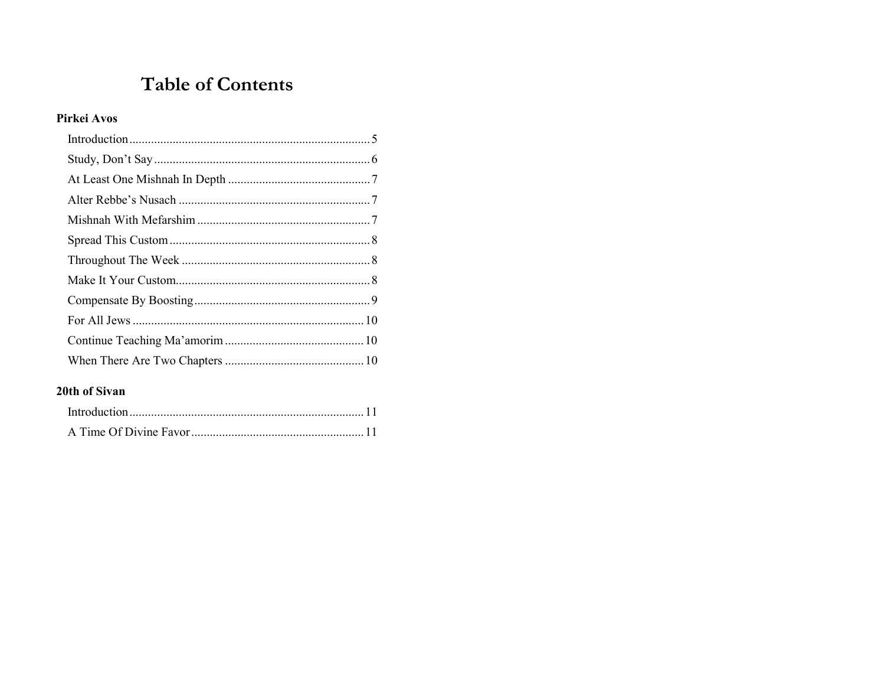### **Table of Contents**

#### Pirkei Avos

#### 20th of Sivan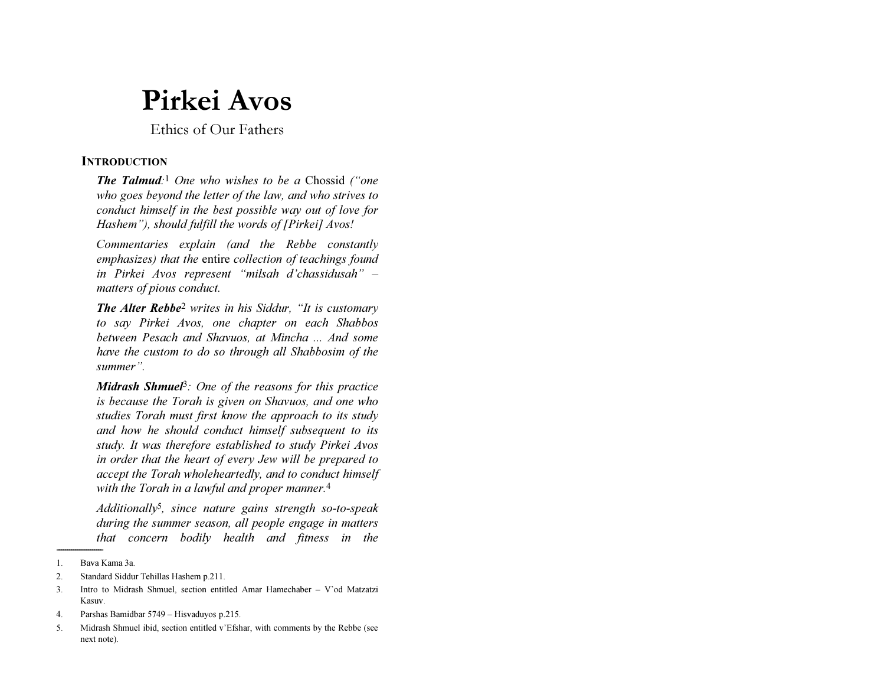## Pirkei Avos

Ethics of Our Fathers

#### *I*NTRODUCTION

**The Talmud:**<sup>1</sup> One who wishes to be a Chossid ("one") who goes beyond the letter of the law, and who strives to conduct himself in the best possible way out of love for Hashem"), should fulfill the words of [Pirkei] Avos!

Commentaries explain (and the Rebbe constantly emphasizes) that the entire collection of teachings found in Pirkei Avos represent "milsah d'chassidusah" – matters of pious conduct.

The Alter Rebbe<sup>2</sup> writes in his Siddur, "It is customary to say Pirkei Avos, one chapter on each Shabbos between Pesach and Shavuos, at Mincha ... And some have the custom to do so through all Shabbosim of the summer".

**Midrash Shmuel**<sup>3</sup>: One of the reasons for this practice is because the Torah is given on Shavuos, and one who studies Torah must first know the approach to its study and how he should conduct himself subsequent to its study. It was therefore established to study Pirkei Avos in order that the heart of every Jew will be prepared to accept the Torah wholeheartedly, and to conduct himself with the Torah in a lawful and proper manner.<sup>4</sup>

 $Additionally<sup>5</sup>$ , since nature gains strength so-to-speak during the summer season, all people engage in matters that concern bodily health and fitness in the

<sup>1.</sup> Bava Kama 3a.

<sup>2.</sup> Standard Siddur Tehillas Hashem p.211.

<sup>3.</sup> Intro to Midrash Shmuel, section entitled Amar Hamechaber – V'od Matzatzi Kasuv.

<sup>4.</sup> Parshas Bamidbar 5749 – Hisvaduyos p.215.

<sup>5.</sup> Midrash Shmuel ibid, section entitled v'Efshar, with comments by the Rebbe (see next note).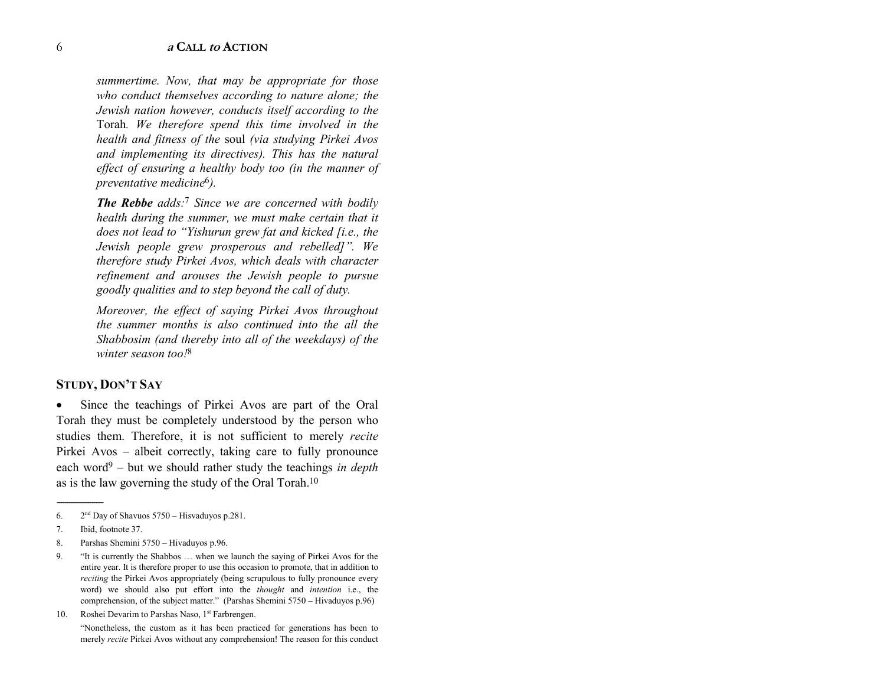*summertime. Now, that may be appropriate for those who conduct themselves according to nature alone; the Jewish nation however, conducts itself according to the*  Torah*. We therefore spend this time involved in the health and fitness of the* soul *(via studying Pirkei Avos and implementing its directives). This has the natural effect of ensuring a healthy body too (in the manner of preventative medicine*<sup>6</sup>*).* 

*The Rebbe adds:*<sup>7</sup> *Since we are concerned with bodily health during the summer, we must make certain that it does not lead to "Yishurun grew fat and kicked [i.e., the Jewish people grew prosperous and rebelled]". We therefore study Pirkei Avos, which deals with character refinement and arouses the Jewish people to pursue goodly qualities and to step beyond the call of duty.* 

*Moreover, the effect of saying Pirkei Avos throughout the summer months is also continued into the all the Shabbosim (and thereby into all of the weekdays) of the winter season too!*<sup>8</sup>

#### **STUDY, DON'T SAY**

• Since the teachings of Pirkei Avos are part of the Oral Torah they must be completely understood by the person who studies them. Therefore, it is not sufficient to merely *recite* Pirkei Avos – albeit correctly, taking care to fully pronounce each word9 – but we should rather study the teachings *in depth* as is the law governing the study of the Oral Torah.10

<sup>6.</sup>  $2<sup>nd</sup>$  Day of Shavuos 5750 – Hisvaduyos p.281.

<sup>7.</sup> Ibid, footnote 37.

<sup>8.</sup> Parshas Shemini 5750 – Hivaduyos p.96.

<sup>9. &</sup>quot;It is currently the Shabbos … when we launch the saying of Pirkei Avos for the entire year. It is therefore proper to use this occasion to promote, that in addition to *reciting* the Pirkei Avos appropriately (being scrupulous to fully pronounce every word) we should also put effort into the *thought* and *intention* i.e., the comprehension, of the subject matter." (Parshas Shemini 5750 – Hivaduyos p.96)

<sup>10.</sup> Roshei Devarim to Parshas Naso,  $1<sup>st</sup>$  Farbrengen. "Nonetheless, the custom as it has been practiced for generations has been to merely *recite* Pirkei Avos without any comprehension! The reason for this conduct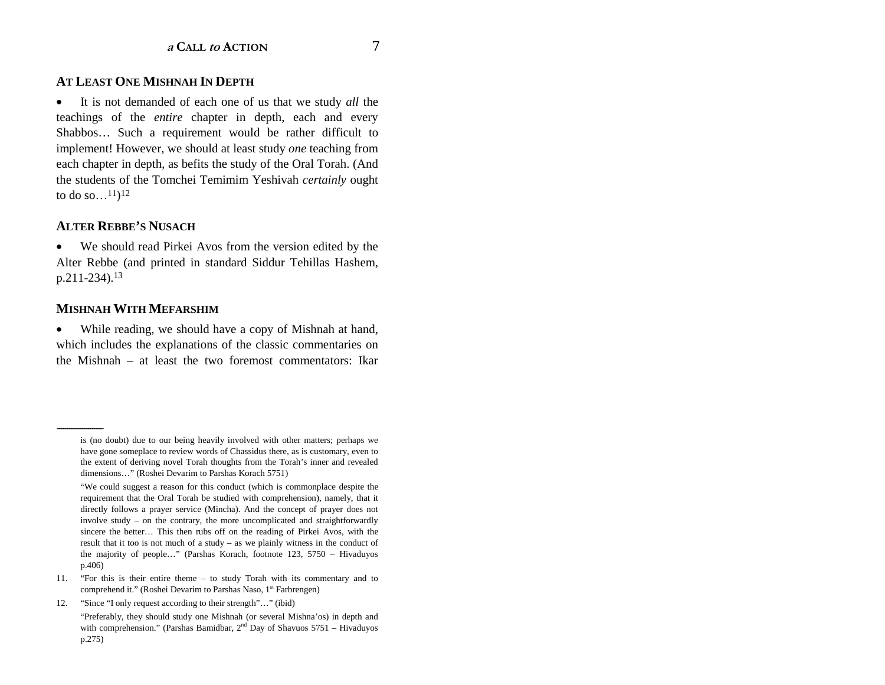#### **AT LEAST ONE MISHNAH IN DEPTH**

• It is not demanded of each one of us that we study *all* the teachings of the *entire* chapter in depth, each and every Shabbos… Such a requirement would be rather difficult to implement! However, we should at least study *one* teaching from each chapter in depth, as befits the study of the Oral Torah. (And the students of the Tomchei Temimim Yeshivah *certainly* ought to do so...<sup>11</sup>)<sup>12</sup>

#### **ALTER REBBE'S NUSACH**

• We should read Pirkei Avos from the version edited by the Alter Rebbe (and printed in standard Siddur Tehillas Hashem,  $p.211-234$ ).<sup>13</sup>

#### **MISHNAH WITH MEFARSHIM**

----------------------

• While reading, we should have a copy of Mishnah at hand, which includes the explanations of the classic commentaries on the Mishnah – at least the two foremost commentators: Ikar

is (no doubt) due to our being heavily involved with other matters; perhaps we have gone someplace to review words of Chassidus there, as is customary, even to the extent of deriving novel Torah thoughts from the Torah's inner and revealed dimensions…" (Roshei Devarim to Parshas Korach 5751)

"We could suggest a reason for this conduct (which is commonplace despite the requirement that the Oral Torah be studied with comprehension), namely, that it directly follows a prayer service (Mincha). And the concept of prayer does not involve study – on the contrary, the more uncomplicated and straightforwardly sincere the better… This then rubs off on the reading of Pirkei Avos, with the result that it too is not much of a study – as we plainly witness in the conduct of the majority of people…" (Parshas Korach, footnote 123, 5750 – Hivaduyos p.406)

<sup>11. &</sup>quot;For this is their entire theme – to study Torah with its commentary and to comprehend it." (Roshei Devarim to Parshas Naso, 1<sup>st</sup> Farbrengen)

<sup>12. &</sup>quot;Since "I only request according to their strength"…" (ibid) "Preferably, they should study one Mishnah (or several Mishna'os) in depth and with comprehension." (Parshas Bamidbar,  $2<sup>nd</sup>$  Day of Shavuos 5751 – Hivaduyos p.275)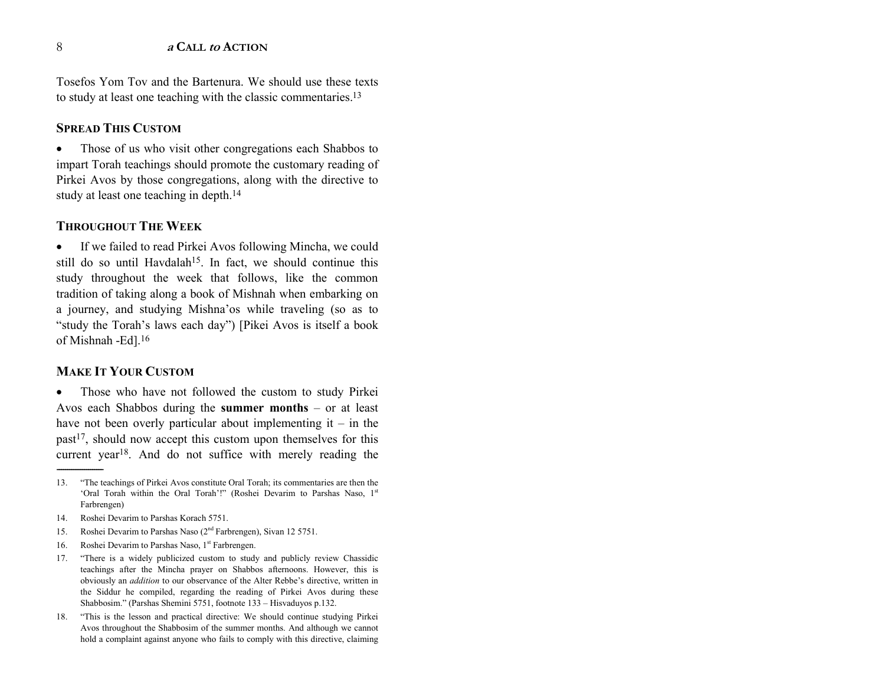Tosefos Yom Tov and the Bartenura. We should use these texts to study at least one teaching with the classic commentaries.13

#### **SPREAD THIS CUSTOM**

• Those of us who visit other congregations each Shabbos to impart Torah teachings should promote the customary reading of Pirkei Avos by those congregations, along with the directive to study at least one teaching in depth.<sup>14</sup>

#### **THROUGHOUT THE WEEK**

• If we failed to read Pirkei Avos following Mincha, we could still do so until Havdalah<sup>15</sup>. In fact, we should continue this study throughout the week that follows, like the common tradition of taking along a book of Mishnah when embarking on a journey, and studying Mishna'os while traveling (so as to "study the Torah's laws each day") [Pikei Avos is itself a book of Mishnah -Ed].16

#### **MAKE IT YOUR CUSTOM**

• Those who have not followed the custom to study Pirkei Avos each Shabbos during the **summer months** – or at least have not been overly particular about implementing it  $-$  in the  $past<sup>17</sup>$ , should now accept this custom upon themselves for this current year<sup>18</sup>. And do not suffice with merely reading the

<sup>13. &</sup>quot;The teachings of Pirkei Avos constitute Oral Torah; its commentaries are then the 'Oral Torah within the Oral Torah'!" (Roshei Devarim to Parshas Naso, 1st Farbrengen)

<sup>14.</sup> Roshei Devarim to Parshas Korach 5751.

<sup>15.</sup> Roshei Devarim to Parshas Naso (2nd Farbrengen), Sivan 12 5751.

<sup>16.</sup> Roshei Devarim to Parshas Naso, 1<sup>st</sup> Farbrengen.

<sup>17. &</sup>quot;There is a widely publicized custom to study and publicly review Chassidic teachings after the Mincha prayer on Shabbos afternoons. However, this is obviously an *addition* to our observance of the Alter Rebbe's directive, written in the Siddur he compiled, regarding the reading of Pirkei Avos during these Shabbosim." (Parshas Shemini 5751, footnote 133 – Hisvaduyos p.132.

<sup>18. &</sup>quot;This is the lesson and practical directive: We should continue studying Pirkei Avos throughout the Shabbosim of the summer months. And although we cannot hold a complaint against anyone who fails to comply with this directive, claiming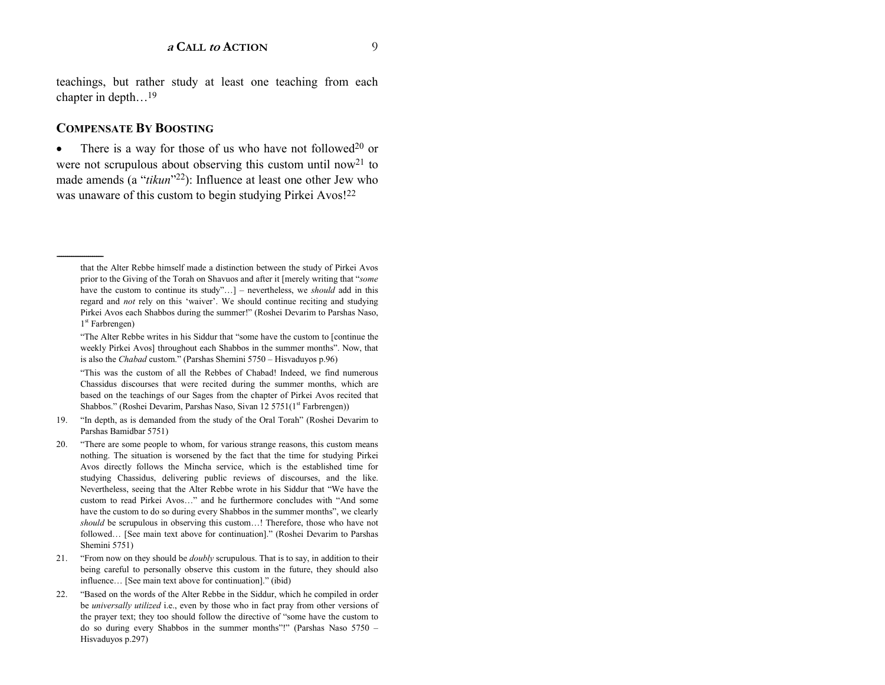teachings, but rather study at least one teaching from each chapter in depth…19

#### **COMPENSATE BY BOOSTING**

----------------------

•There is a way for those of us who have not followed<sup>20</sup> or were not scrupulous about observing this custom until now<sup>21</sup> to made amends (a "*tikun*"<sup>22</sup>): Influence at least one other Jew who was unaware of this custom to begin studying Pirkei Avos!<sup>22</sup>

 "This was the custom of all the Rebbes of Chabad! Indeed, we find numerous Chassidus discourses that were recited during the summer months, which are based on the teachings of our Sages from the chapter of Pirkei Avos recited that Shabbos." (Roshei Devarim, Parshas Naso, Sivan 12 5751(1<sup>st</sup> Farbrengen))

- 19. "In depth, as is demanded from the study of the Oral Torah" (Roshei Devarim to Parshas Bamidbar 5751)
- 20. "There are some people to whom, for various strange reasons, this custom means nothing. The situation is worsened by the fact that the time for studying Pirkei Avos directly follows the Mincha service, which is the established time for studying Chassidus, delivering public reviews of discourses, and the like. Nevertheless, seeing that the Alter Rebbe wrote in his Siddur that "We have the custom to read Pirkei Avos…" and he furthermore concludes with "And some have the custom to do so during every Shabbos in the summer months", we clearly *should* be scrupulous in observing this custom…! Therefore, those who have not followed… [See main text above for continuation]." (Roshei Devarim to Parshas Shemini 5751)
- 21. "From now on they should be *doubly* scrupulous. That is to say, in addition to their being careful to personally observe this custom in the future, they should also influence… [See main text above for continuation]." (ibid)
- 22. "Based on the words of the Alter Rebbe in the Siddur, which he compiled in order be *universally utilized* i.e., even by those who in fact pray from other versions of the prayer text; they too should follow the directive of "some have the custom to do so during every Shabbos in the summer months"!" (Parshas Naso 5750 – Hisvaduyos p.297)

that the Alter Rebbe himself made a distinction between the study of Pirkei Avos prior to the Giving of the Torah on Shavuos and after it [merely writing that "*some* have the custom to continue its study"...] – nevertheless, we *should* add in this regard and *not* rely on this 'waiver'. We should continue reciting and studying Pirkei Avos each Shabbos during the summer!" (Roshei Devarim to Parshas Naso, 1<sup>st</sup> Farbrengen)

"The Alter Rebbe writes in his Siddur that "some have the custom to [continue the weekly Pirkei Avos] throughout each Shabbos in the summer months". Now, that is also the *Chabad* custom." (Parshas Shemini 5750 – Hisvaduyos p.96)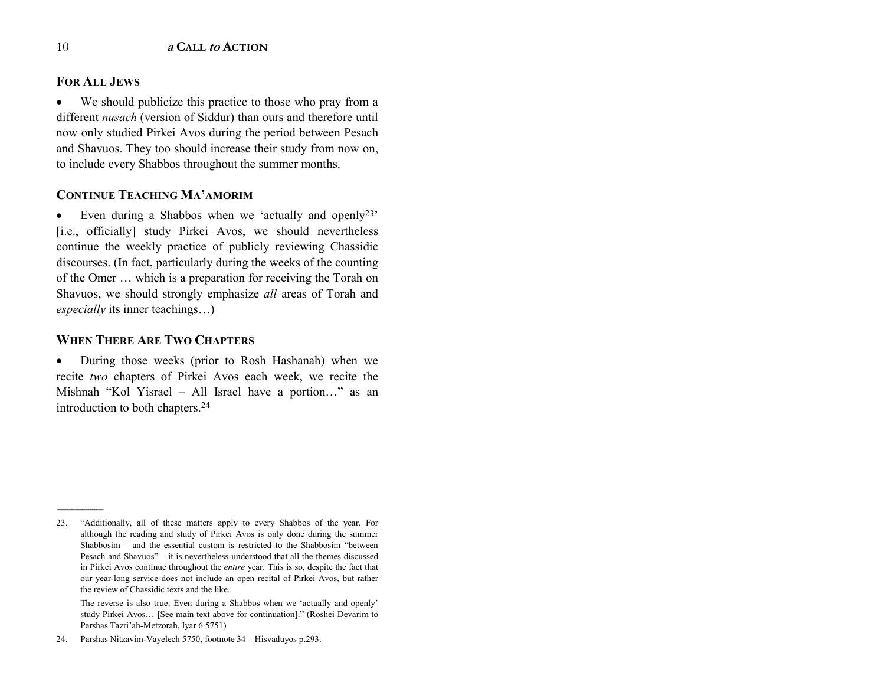#### **FOR ALL JEWS**

• We should publicize this practice to those who pray from a different *nusach* (version of Siddur) than ours and therefore until now only studied Pirkei Avos during the period between Pesach and Shavuos. They too should increase their study from now on, to include every Shabbos throughout the summer months.

#### **CONTINUE TEACHING MA'AMORIM**

•Even during a Shabbos when we 'actually and openly<sup>23'</sup> [i.e., officially] study Pirkei Avos, we should nevertheless continue the weekly practice of publicly reviewing Chassidic discourses. (In fact, particularly during the weeks of the counting of the Omer … which is a preparation for receiving the Torah on Shavuos, we should strongly emphasize *all* areas of Torah and *especially* its inner teachings...)

#### **WHEN THERE ARE TWO CHAPTERS**

• During those weeks (prior to Rosh Hashanah) when we recite *two* chapters of Pirkei Avos each week, we recite the Mishnah "Kol Yisrael – All Israel have a portion…" as an introduction to both chapters.24

 The reverse is also true: Even during a Shabbos when we 'actually and openly' study Pirkei Avos… [See main text above for continuation]." (Roshei Devarim to Parshas Tazri'ah-Metzorah, Iyar 6 5751)

<sup>23. &</sup>quot;Additionally, all of these matters apply to every Shabbos of the year. For although the reading and study of Pirkei Avos is only done during the summer Shabbosim – and the essential custom is restricted to the Shabbosim "between Pesach and Shavuos" – it is nevertheless understood that all the themes discussed in Pirkei Avos continue throughout the *entire* year. This is so, despite the fact that our year-long service does not include an open recital of Pirkei Avos, but rather the review of Chassidic texts and the like.

<sup>24.</sup> Parshas Nitzavim-Vayelech 5750, footnote 34 – Hisvaduyos p.293.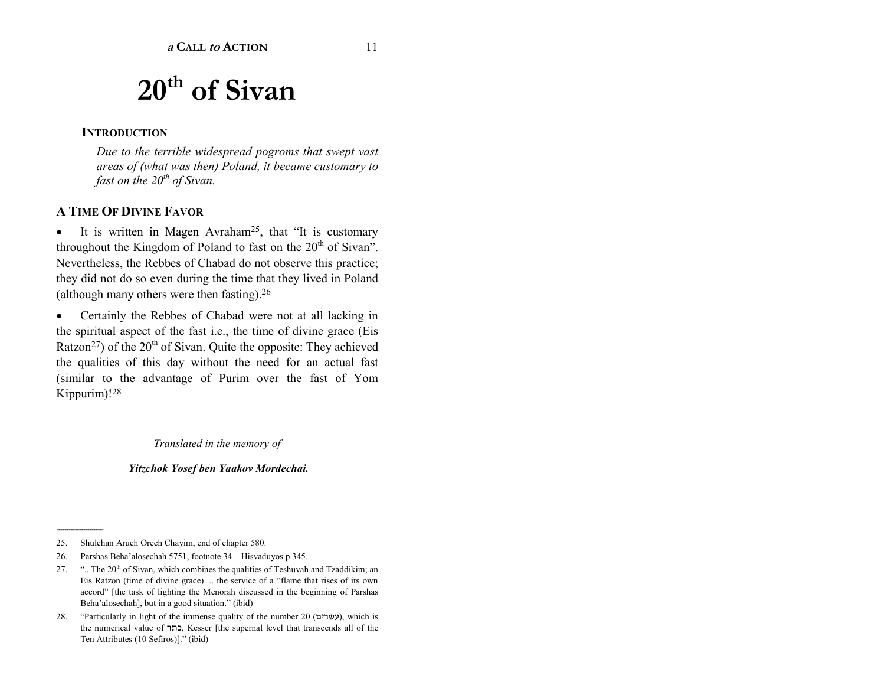## **20th of Sivan**

#### **INTRODUCTION**

*Due to the terrible widespread pogroms that swept vast areas of (what was then) Poland, it became customary to fast on the 20th of Sivan.* 

#### **A TIME OF DIVINE FAVOR**

• It is written in Magen Avraham25, that "It is customary throughout the Kingdom of Poland to fast on the  $20<sup>th</sup>$  of Sivan". Nevertheless, the Rebbes of Chabad do not observe this practice; they did not do so even during the time that they lived in Poland (although many others were then fasting).26

• Certainly the Rebbes of Chabad were not at all lacking in the spiritual aspect of the fast i.e., the time of divine grace (Eis Ratzon<sup>27</sup>) of the  $20<sup>th</sup>$  of Sivan. Quite the opposite: They achieved the qualities of this day without the need for an actual fast (similar to the advantage of Purim over the fast of Yom Kippurim)!28

*Translated in the memory of* 

*Yitzchok Yosef ben Yaakov Mordechai.*

<sup>25.</sup> Shulchan Aruch Orech Chayim, end of chapter 580.

<sup>26.</sup> Parshas Beha'alosechah 5751, footnote 34 – Hisvaduyos p.345.

<sup>27. &</sup>quot;...The  $20<sup>th</sup>$  of Sivan, which combines the qualities of Teshuvah and Tzaddikim; an Eis Ratzon (time of divine grace) ... the service of a "flame that rises of its own accord" [the task of lighting the Menorah discussed in the beginning of Parshas Beha'alosechah], but in a good situation." (ibid)

<sup>28. &</sup>quot;Particularly in light of the immense quality of the number 20 (עשרים), which is the numerical value of כתר, Kesser [the supernal level that transcends all of the Ten Attributes (10 Sefiros)]." (ibid)